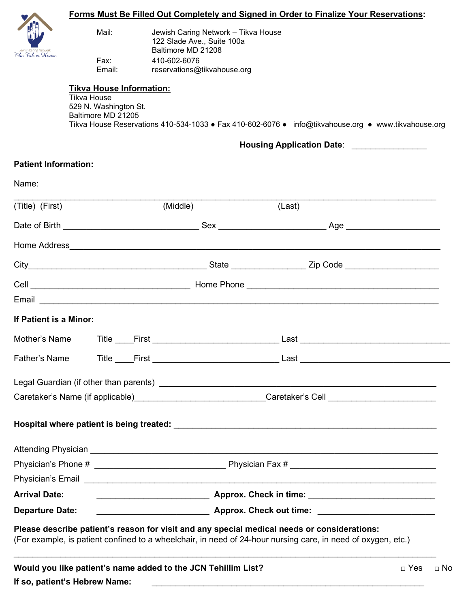|                                                                                      | <u>Forms Must Be Filled Out Completely and Signed in Order to Finalize Your Reservations:</u> |              |                                                                   |                                                                                                                                                                                                                                      |                         |  |
|--------------------------------------------------------------------------------------|-----------------------------------------------------------------------------------------------|--------------|-------------------------------------------------------------------|--------------------------------------------------------------------------------------------------------------------------------------------------------------------------------------------------------------------------------------|-------------------------|--|
|                                                                                      | Mail:                                                                                         |              | Jewish Caring Network - Tikva House<br>122 Slade Ave., Suite 100a |                                                                                                                                                                                                                                      |                         |  |
| The Tikva House                                                                      | Fax:                                                                                          | 410-602-6076 | Baltimore MD 21208                                                |                                                                                                                                                                                                                                      |                         |  |
|                                                                                      | Email:                                                                                        |              | reservations@tikvahouse.org                                       |                                                                                                                                                                                                                                      |                         |  |
|                                                                                      | <b>Tikva House Information:</b>                                                               |              |                                                                   |                                                                                                                                                                                                                                      |                         |  |
|                                                                                      | <b>Tikva House</b><br>529 N. Washington St.<br>Baltimore MD 21205                             |              |                                                                   | Tikva House Reservations 410-534-1033 • Fax 410-602-6076 • info@tikvahouse.org • www.tikvahouse.org                                                                                                                                  |                         |  |
|                                                                                      |                                                                                               |              |                                                                   | Housing Application Date: _______________                                                                                                                                                                                            |                         |  |
| <b>Patient Information:</b>                                                          |                                                                                               |              |                                                                   |                                                                                                                                                                                                                                      |                         |  |
| Name:                                                                                |                                                                                               |              |                                                                   |                                                                                                                                                                                                                                      |                         |  |
| (Title) (First)                                                                      |                                                                                               |              | (Middle)                                                          | (Last)                                                                                                                                                                                                                               |                         |  |
|                                                                                      |                                                                                               |              |                                                                   |                                                                                                                                                                                                                                      |                         |  |
|                                                                                      |                                                                                               |              |                                                                   |                                                                                                                                                                                                                                      |                         |  |
|                                                                                      |                                                                                               |              |                                                                   |                                                                                                                                                                                                                                      |                         |  |
|                                                                                      |                                                                                               |              |                                                                   |                                                                                                                                                                                                                                      |                         |  |
|                                                                                      |                                                                                               |              |                                                                   | Email <u>the community of the community of the community of the community of the community of the community of the community of the community of the community of the community of the community of the community of the communi</u> |                         |  |
| If Patient is a Minor:                                                               |                                                                                               |              |                                                                   |                                                                                                                                                                                                                                      |                         |  |
|                                                                                      |                                                                                               |              | Mother's Name Title First                                         |                                                                                                                                                                                                                                      |                         |  |
| Father's Name                                                                        |                                                                                               |              |                                                                   |                                                                                                                                                                                                                                      |                         |  |
|                                                                                      |                                                                                               |              |                                                                   |                                                                                                                                                                                                                                      |                         |  |
|                                                                                      |                                                                                               |              |                                                                   | Caretaker's Name (if applicable)____________________________Caretaker's Cell ______________________                                                                                                                                  |                         |  |
|                                                                                      |                                                                                               |              |                                                                   |                                                                                                                                                                                                                                      |                         |  |
|                                                                                      |                                                                                               |              |                                                                   |                                                                                                                                                                                                                                      |                         |  |
|                                                                                      |                                                                                               |              |                                                                   |                                                                                                                                                                                                                                      |                         |  |
|                                                                                      |                                                                                               |              |                                                                   |                                                                                                                                                                                                                                      |                         |  |
| <b>Arrival Date:</b>                                                                 |                                                                                               |              |                                                                   |                                                                                                                                                                                                                                      |                         |  |
| Approx. Check out time: <b>All Approx.</b> Check out time:<br><b>Departure Date:</b> |                                                                                               |              |                                                                   |                                                                                                                                                                                                                                      |                         |  |
|                                                                                      |                                                                                               |              |                                                                   | Please describe patient's reason for visit and any special medical needs or considerations:<br>(For example, is patient confined to a wheelchair, in need of 24-hour nursing care, in need of oxygen, etc.)                          |                         |  |
|                                                                                      | If so, patient's Hebrew Name:                                                                 |              | Would you like patient's name added to the JCN Tehillim List?     | <u> 1980 - Johann Stein, mars an deutscher Stein († 1980)</u>                                                                                                                                                                        | $\Box$ Yes<br>$\Box$ No |  |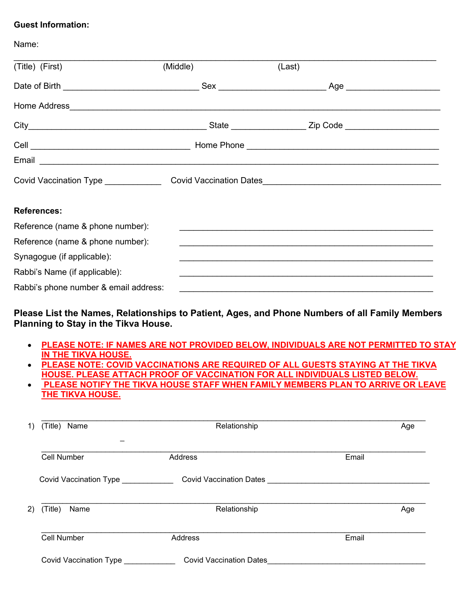#### **Guest Information:**

Name:

| (Title) (First)                       | (Middle) | (Last)                                                           |  |
|---------------------------------------|----------|------------------------------------------------------------------|--|
|                                       |          | _Age _________________________                                   |  |
|                                       |          |                                                                  |  |
|                                       |          | _State ______________________ Zip Code _________________________ |  |
|                                       |          |                                                                  |  |
|                                       |          |                                                                  |  |
|                                       |          |                                                                  |  |
| <b>References:</b>                    |          |                                                                  |  |
| Reference (name & phone number):      |          |                                                                  |  |
| Reference (name & phone number):      |          |                                                                  |  |
| Synagogue (if applicable):            |          |                                                                  |  |
| Rabbi's Name (if applicable):         |          |                                                                  |  |
| Rabbi's phone number & email address: |          |                                                                  |  |

### **Please List the Names, Relationships to Patient, Ages, and Phone Numbers of all Family Members Planning to Stay in the Tikva House.**

- **PLEASE NOTE: IF NAMES ARE NOT PROVIDED BELOW, INDIVIDUALS ARE NOT PERMITTED TO STAY IN THE TIKVA HOUSE.**
- **PLEASE NOTE: COVID VACCINATIONS ARE REQUIRED OF ALL GUESTS STAYING AT THE TIKVA HOUSE. PLEASE ATTACH PROOF OF VACCINATION FOR ALL INDIVIDUALS LISTED BELOW.**
- **PLEASE NOTIFY THE TIKVA HOUSE STAFF WHEN FAMILY MEMBERS PLAN TO ARRIVE OR LEAVE THE TIKVA HOUSE.**

| (Title) Name           | Relationship                   | Age   |
|------------------------|--------------------------------|-------|
| <b>Cell Number</b>     | Address                        | Email |
| Covid Vaccination Type | <b>Covid Vaccination Dates</b> |       |
| (Title)<br>Name        | Relationship                   | Age   |
|                        | <b>Address</b>                 | Email |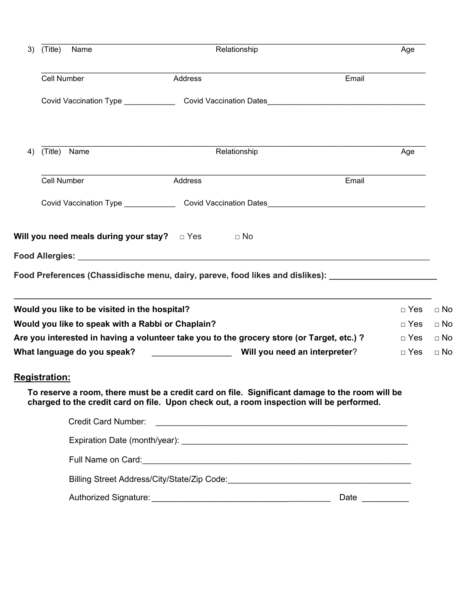| 3) | (Title)<br>Name                                   |         | Relationship                                                                                                                                                                               |            |           |  |
|----|---------------------------------------------------|---------|--------------------------------------------------------------------------------------------------------------------------------------------------------------------------------------------|------------|-----------|--|
|    | Cell Number                                       | Address | Email                                                                                                                                                                                      |            |           |  |
|    |                                                   |         |                                                                                                                                                                                            |            |           |  |
| 4) | (Title)<br>Name                                   |         | Relationship                                                                                                                                                                               | Age        |           |  |
|    | Cell Number                                       | Address | Email                                                                                                                                                                                      |            |           |  |
|    |                                                   |         |                                                                                                                                                                                            |            |           |  |
|    |                                                   |         | Food Preferences (Chassidische menu, dairy, pareve, food likes and dislikes): _____________________                                                                                        |            |           |  |
|    | Would you like to be visited in the hospital?     |         |                                                                                                                                                                                            | $\Box$ Yes | $\Box$ No |  |
|    | Would you like to speak with a Rabbi or Chaplain? |         |                                                                                                                                                                                            | $\Box$ Yes | $\Box$ No |  |
|    |                                                   |         | Are you interested in having a volunteer take you to the grocery store (or Target, etc.) ?                                                                                                 | $\Box$ Yes | $\Box$ No |  |
|    | What language do you speak?                       |         | Will you need an interpreter?                                                                                                                                                              | $\Box$ Yes | $\Box$ No |  |
|    | <b>Registration:</b>                              |         |                                                                                                                                                                                            |            |           |  |
|    |                                                   |         | To reserve a room, there must be a credit card on file. Significant damage to the room will be<br>charged to the credit card on file. Upon check out, a room inspection will be performed. |            |           |  |
|    | <b>Credit Card Number:</b>                        |         |                                                                                                                                                                                            |            |           |  |
|    |                                                   |         |                                                                                                                                                                                            |            |           |  |
|    |                                                   |         |                                                                                                                                                                                            |            |           |  |
|    |                                                   |         |                                                                                                                                                                                            |            |           |  |

Authorized Signature: \_\_\_\_\_\_\_\_\_\_\_\_\_\_\_\_\_\_\_\_\_\_\_\_\_\_\_\_\_\_\_\_\_\_\_\_\_\_\_ Date \_\_\_\_\_\_\_\_\_\_